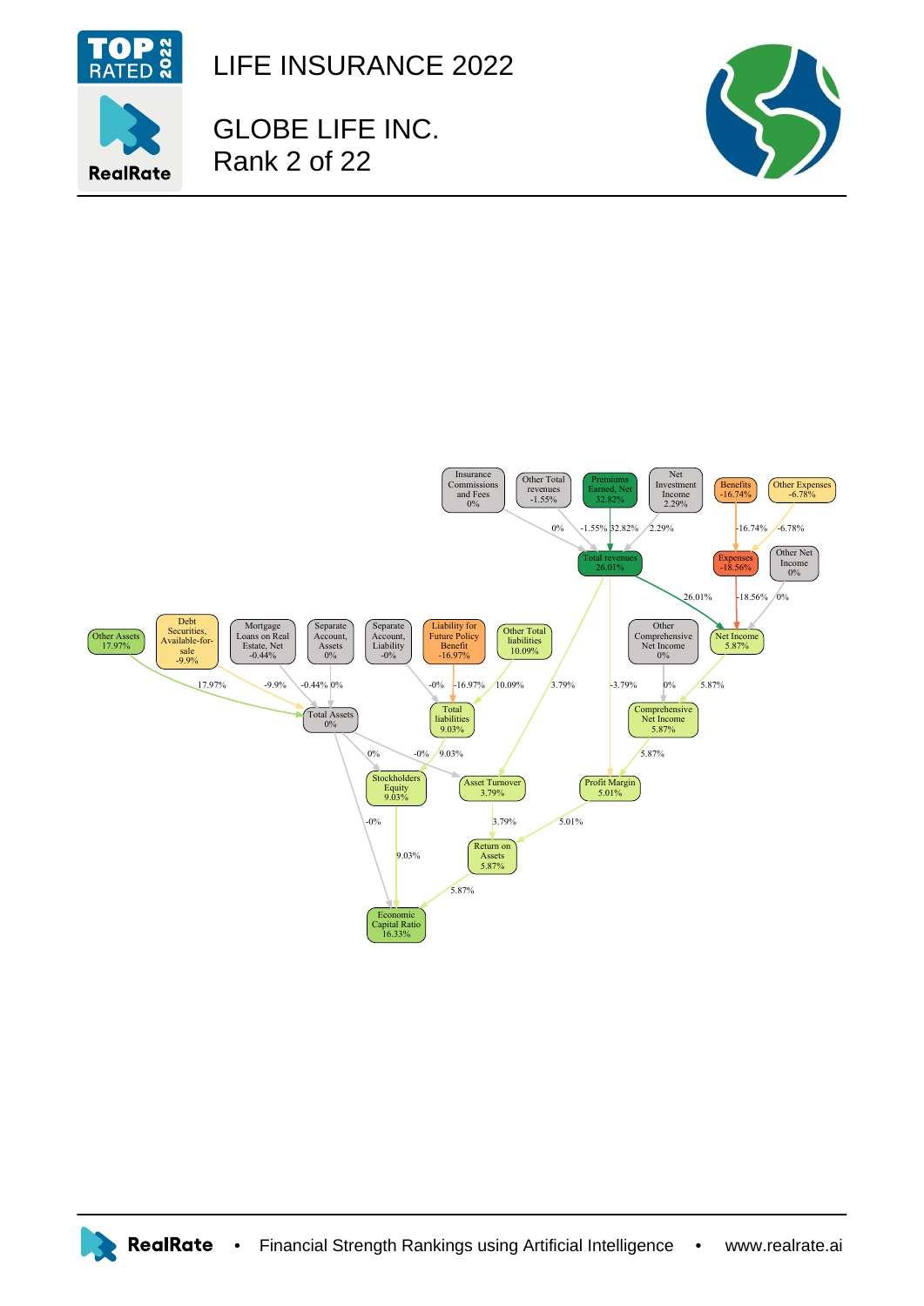

LIFE INSURANCE 2022

GLOBE LIFE INC. Rank 2 of 22